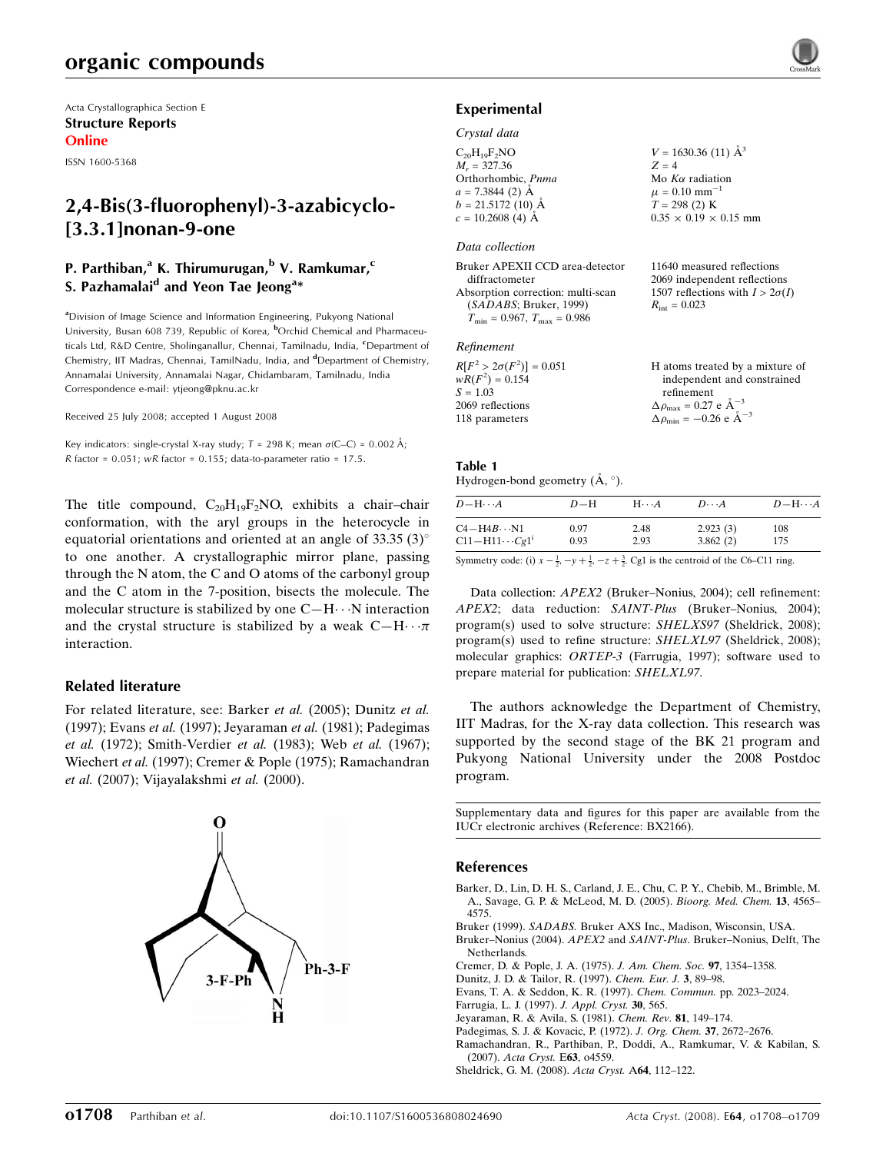# organic compounds

Acta Crystallographica Section E Structure Reports Online

ISSN 1600-5368

## 2,4-Bis(3-fluorophenyl)-3-azabicyclo- [3.3.1]nonan-9-one

## P. Parthiban,<sup>a</sup> K. Thirumurugan,<sup>b</sup> V. Ramkumar,<sup>c</sup> S. Pazhamalai<sup>d</sup> and Yeon Tae Jeong<sup>a</sup>\*

<sup>a</sup>Division of Image Science and Information Engineering, Pukyong National University, Busan 608 739, Republic of Korea, <sup>b</sup>Orchid Chemical and Pharmaceuticals Ltd, R&D Centre, Sholinganallur, Chennai, Tamilnadu, India, <sup>c</sup>Department of Chemistry, IIT Madras, Chennai, TamilNadu, India, and <sup>d</sup>Department of Chemistry, Annamalai University, Annamalai Nagar, Chidambaram, Tamilnadu, India Correspondence e-mail: ytjeong@pknu.ac.kr

Received 25 July 2008; accepted 1 August 2008

Key indicators: single-crystal X-ray study;  $T = 298$  K; mean  $\sigma$ (C–C) = 0.002 Å;  $R$  factor = 0.051;  $wR$  factor = 0.155; data-to-parameter ratio = 17.5.

The title compound,  $C_{20}H_{19}F_2NO$ , exhibits a chair-chair conformation, with the aryl groups in the heterocycle in equatorial orientations and oriented at an angle of 33.35  $(3)^{\circ}$ to one another. A crystallographic mirror plane, passing through the N atom, the C and O atoms of the carbonyl group and the C atom in the 7-position, bisects the molecule. The molecular structure is stabilized by one  $C-H\cdots N$  interaction and the crystal structure is stabilized by a weak  $C-H \cdots \pi$ interaction.

#### Related literature

For related literature, see: Barker et al. (2005); Dunitz et al. (1997); Evans et al. (1997); Jeyaraman et al. (1981); Padegimas et al. (1972); Smith-Verdier et al. (1983); Web et al. (1967); Wiechert et al. (1997); Cremer & Pople (1975); Ramachandran et al. (2007); Vijayalakshmi et al. (2000).



#### Experimental

#### Crystal data

 $C_{20}H_{19}F_{2}NO$  $M_r = 327.36$ Orthorhombic, Pnma  $a = 7.3844$  (2) Å  $b = 21.5172(10)$  Å  $c = 10.2608$  (4) Å  $V = 1630.36$  (11)  $\AA^3$  $Z = 4$ Mo  $K\alpha$  radiation  $\mu = 0.10$  mm<sup>-1</sup>  $T = 298(2)$  K  $0.35 \times 0.19 \times 0.15$  mm

#### Data collection

#### Refinement

| $R[F^2 > 2\sigma(F^2)] = 0.051$ | H atoms treated by a mixture of                    |
|---------------------------------|----------------------------------------------------|
| $wR(F^2) = 0.154$               | independent and constrained                        |
| $S = 1.03$                      | refinement                                         |
| 2069 reflections                | $\Delta \rho_{\text{max}} = 0.27 \text{ e A}^{-3}$ |
| 118 parameters                  | $\Delta \rho_{\text{min}} = -0.26$ e $\AA^{-3}$    |

11640 measured reflections 2069 independent reflections 1507 reflections with  $I > 2\sigma(I)$ 

 $R_{\text{int}} = 0.023$ 

#### Table 1 Hydrogen-bond geometry  $(\mathring{A}, \degree)$ .

| $D$ -H $\cdots$ A      | $D-H$ | $H\cdots A$ | $D\cdots A$ | $D-H\cdots A$ |
|------------------------|-------|-------------|-------------|---------------|
| $C4 - H4B \cdots N1$   | 0.97  | 2.48        | 2.923(3)    | 108           |
| $C11 - H11 \cdots Cg1$ | 0.93  | 2.93        | 3.862(2)    | 175           |

Symmetry code: (i)  $x - \frac{1}{2}$ ,  $-y + \frac{1}{2}$ ,  $-z + \frac{3}{2}$ . Cg1 is the centroid of the C6–C11 ring.

Data collection: APEX2 (Bruker–Nonius, 2004); cell refinement: APEX2; data reduction: SAINT-Plus (Bruker–Nonius, 2004); program(s) used to solve structure: SHELXS97 (Sheldrick, 2008); program(s) used to refine structure: SHELXL97 (Sheldrick, 2008); molecular graphics: ORTEP-3 (Farrugia, 1997); software used to prepare material for publication: SHELXL97.

The authors acknowledge the Department of Chemistry, IIT Madras, for the X-ray data collection. This research was supported by the second stage of the BK 21 program and Pukyong National University under the 2008 Postdoc program.

Supplementary data and figures for this paper are available from the IUCr electronic archives (Reference: BX2166).

#### References

- Barker, D., Lin, D. H. S., Carland, J. E., Chu, C. P. Y., Chebib, M., Brimble, M. A., Savage, G. P. & McLeod, M. D. (2005). Bioorg. Med. Chem. 13, 4565– 4575.
- Bruker (1999). SADABS. Bruker AXS Inc., Madison, Wisconsin, USA.
- Bruker–Nonius (2004). APEX2 and SAINT-Plus. Bruker–Nonius, Delft, The Netherlands.
- Cremer, D. & Pople, J. A. (1975). J. Am. Chem. Soc. 97, 1354–1358.
- Dunitz, J. D. & Tailor, R. (1997). Chem. Eur. J. 3, 89–98.
- Evans, T. A. & Seddon, K. R. (1997). Chem. Commun. pp. 2023–2024. Farrugia, L. J. (1997). J. Appl. Cryst. 30, 565.
- Jeyaraman, R. & Avila, S. (1981). Chem. Rev. 81, 149–174.
- Padegimas, S. J. & Kovacic, P. (1972). J. Org. Chem. 37, 2672–2676.
- Ramachandran, R., Parthiban, P., Doddi, A., Ramkumar, V. & Kabilan, S. (2007). Acta Cryst. E63, o4559.

Sheldrick, G. M. (2008). Acta Cryst. A64, 112–122.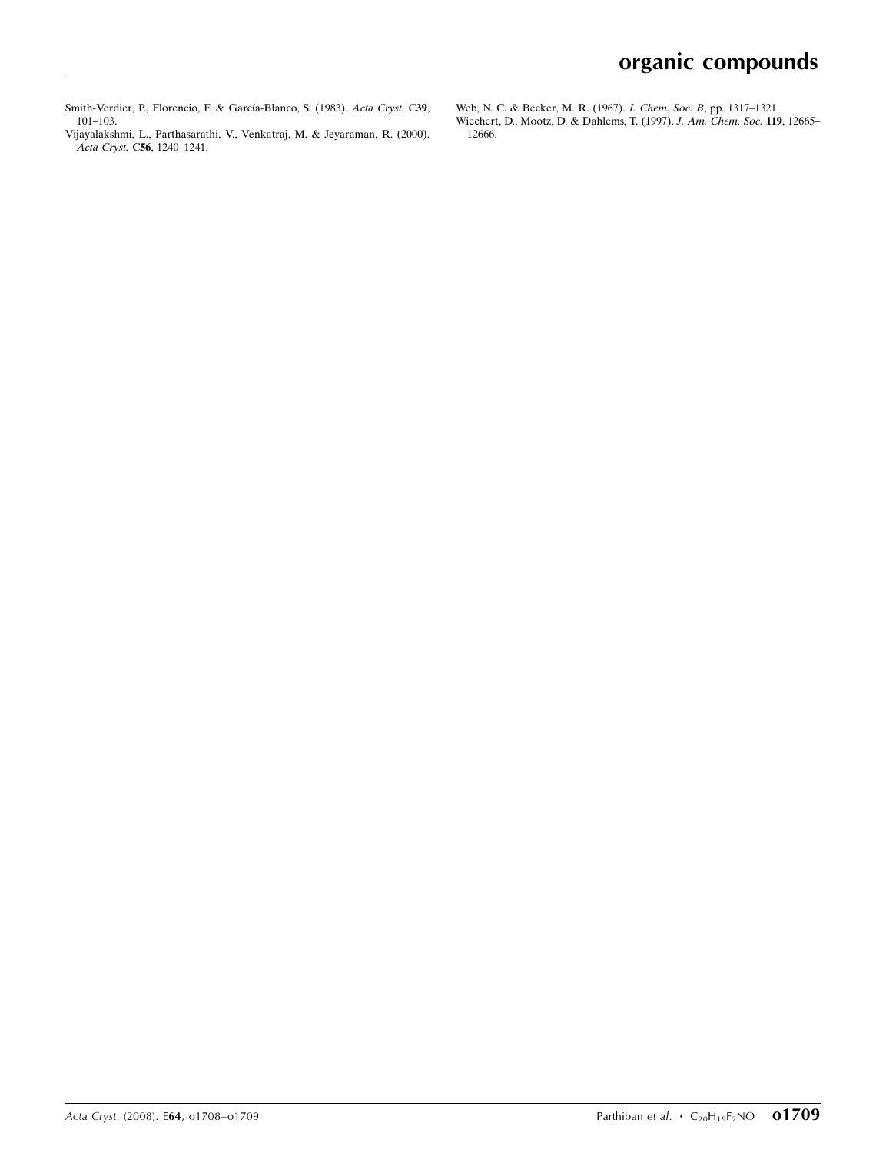Smith-Verdier, P., Florencio, F. & García-Blanco, S. (1983). Acta Cryst. C39, 101–103.

Vijayalakshmi, L., Parthasarathi, V., Venkatraj, M. & Jeyaraman, R. (2000). Acta Cryst. C56, 1240–1241.

Web, N. C. & Becker, M. R. (1967). J. Chem. Soc. B, pp. 1317–1321. Wiechert, D., Mootz, D. & Dahlems, T. (1997). J. Am. Chem. Soc. 119, 12665-12666.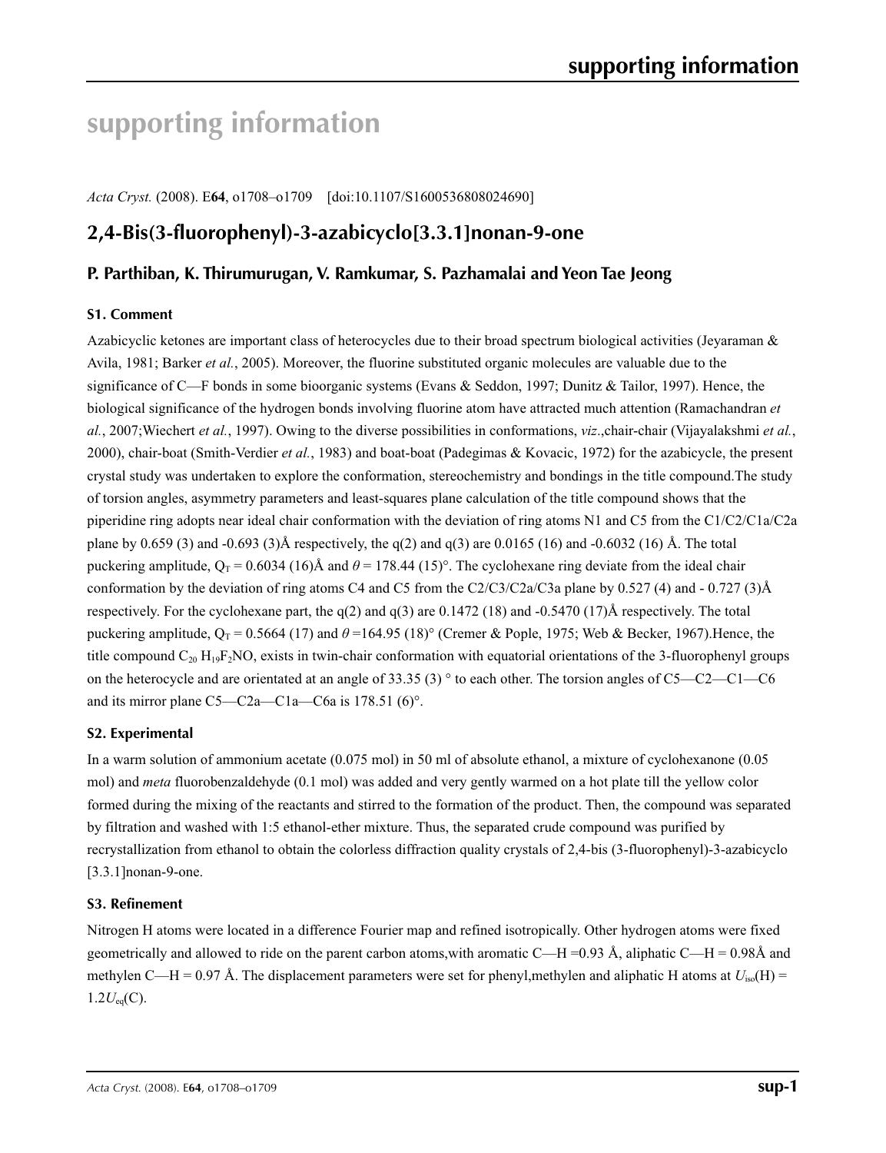# **supporting information**

*Acta Cryst.* (2008). E**64**, o1708–o1709 [doi:10.1107/S1600536808024690]

## **2,4-Bis(3-fluorophenyl)-3-azabicyclo[3.3.1]nonan-9-one**

## **P. Parthiban, K. Thirumurugan, V. Ramkumar, S. Pazhamalai and Yeon Tae Jeong**

#### **S1. Comment**

Azabicyclic ketones are important class of heterocycles due to their broad spectrum biological activities (Jeyaraman & Avila, 1981; Barker *et al.*, 2005). Moreover, the fluorine substituted organic molecules are valuable due to the significance of C—F bonds in some bioorganic systems (Evans & Seddon, 1997; Dunitz & Tailor, 1997). Hence, the biological significance of the hydrogen bonds involving fluorine atom have attracted much attention (Ramachandran *et al.*, 2007;Wiechert *et al.*, 1997). Owing to the diverse possibilities in conformations, *viz*.,chair-chair (Vijayalakshmi *et al.*, 2000), chair-boat (Smith-Verdier *et al.*, 1983) and boat-boat (Padegimas & Kovacic, 1972) for the azabicycle, the present crystal study was undertaken to explore the conformation, stereochemistry and bondings in the title compound.The study of torsion angles, asymmetry parameters and least-squares plane calculation of the title compound shows that the piperidine ring adopts near ideal chair conformation with the deviation of ring atoms N1 and C5 from the C1/C2/C1a/C2a plane by 0.659 (3) and -0.693 (3)Å respectively, the q(2) and q(3) are 0.0165 (16) and -0.6032 (16) Å. The total puckering amplitude,  $Q_T = 0.6034$  (16)Å and  $\theta = 178.44$  (15)°. The cyclohexane ring deviate from the ideal chair conformation by the deviation of ring atoms C4 and C5 from the C2/C3/C2a/C3a plane by 0.527 (4) and - 0.727 (3)Å respectively. For the cyclohexane part, the  $q(2)$  and  $q(3)$  are 0.1472 (18) and -0.5470 (17)Å respectively. The total puckering amplitude,  $Q_T = 0.5664$  (17) and  $\theta = 164.95$  (18)° (Cremer & Pople, 1975; Web & Becker, 1967). Hence, the title compound  $C_{20}$  H<sub>19</sub>F<sub>2</sub>NO, exists in twin-chair conformation with equatorial orientations of the 3-fluorophenyl groups on the heterocycle and are orientated at an angle of 33.35 (3) ° to each other. The torsion angles of C5—C2—C1—C6 and its mirror plane C5—C2a—C1a—C6a is 178.51 (6)°.

### **S2. Experimental**

In a warm solution of ammonium acetate (0.075 mol) in 50 ml of absolute ethanol, a mixture of cyclohexanone (0.05 mol) and *meta* fluorobenzaldehyde (0.1 mol) was added and very gently warmed on a hot plate till the yellow color formed during the mixing of the reactants and stirred to the formation of the product. Then, the compound was separated by filtration and washed with 1:5 ethanol-ether mixture. Thus, the separated crude compound was purified by recrystallization from ethanol to obtain the colorless diffraction quality crystals of 2,4-bis (3-fluorophenyl)-3-azabicyclo [3.3.1] nonan-9-one.

#### **S3. Refinement**

Nitrogen H atoms were located in a difference Fourier map and refined isotropically. Other hydrogen atoms were fixed geometrically and allowed to ride on the parent carbon atoms, with aromatic C—H =0.93 Å, aliphatic C—H = 0.98Å and methylen C—H = 0.97 Å. The displacement parameters were set for phenyl,methylen and aliphatic H atoms at  $U_{\text{iso}}(H)$  =  $1.2U_{eq}(C)$ .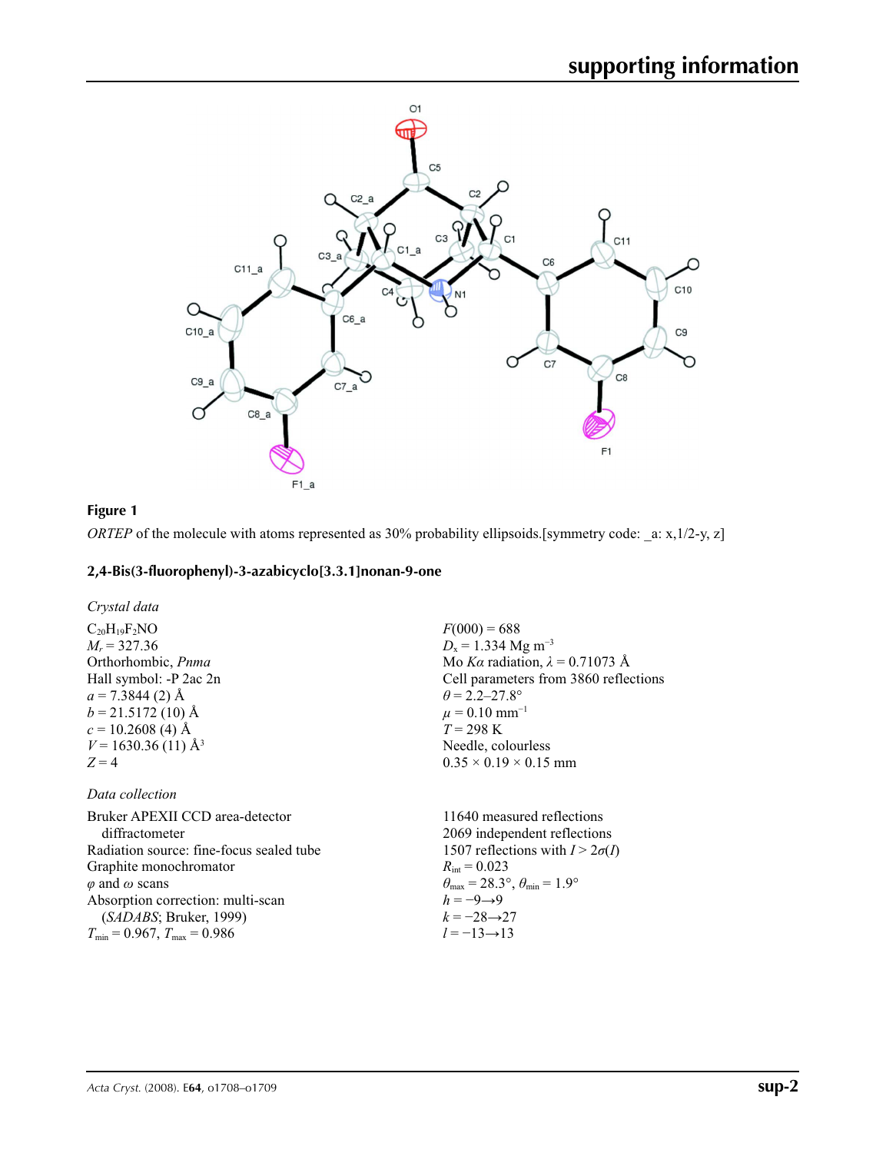

### **Figure 1**

*ORTEP* of the molecule with atoms represented as 30% probability ellipsoids.[symmetry code:  $a: x, 1/2-y, z$ ]

#### **2,4-Bis(3-fluorophenyl)-3-azabicyclo[3.3.1]nonan-9-one**

*Crystal data*

 $C_{20}H_{19}F_2NO$  $M_r = 327.36$ Orthorhombic, *Pnma* Hall symbol: -P 2ac 2n  $a = 7.3844$  (2) Å  $b = 21.5172(10)$  Å  $c = 10.2608$  (4) Å  $V = 1630.36(11)$  Å<sup>3</sup>  $Z = 4$ 

#### *Data collection*

Bruker APEXII CCD area-detector diffractometer Radiation source: fine-focus sealed tube Graphite monochromator *φ* and *ω* scans Absorption correction: multi-scan (*SADABS*; Bruker, 1999)  $T_{\text{min}} = 0.967, T_{\text{max}} = 0.986$ 

 $F(000) = 688$  $D_x = 1.334$  Mg m<sup>-3</sup> Mo *Kα* radiation, *λ* = 0.71073 Å Cell parameters from 3860 reflections  $\theta$  = 2.2–27.8°  $\mu$  = 0.10 mm<sup>-1</sup>  $T = 298 \text{ K}$ Needle, colourless  $0.35 \times 0.19 \times 0.15$  mm

11640 measured reflections 2069 independent reflections 1507 reflections with  $I > 2\sigma(I)$  $R_{\text{int}} = 0.023$  $\theta_{\text{max}} = 28.3^{\circ}, \theta_{\text{min}} = 1.9^{\circ}$  $h = -9 \rightarrow 9$  $k = -28 \rightarrow 27$ *l* = −13→13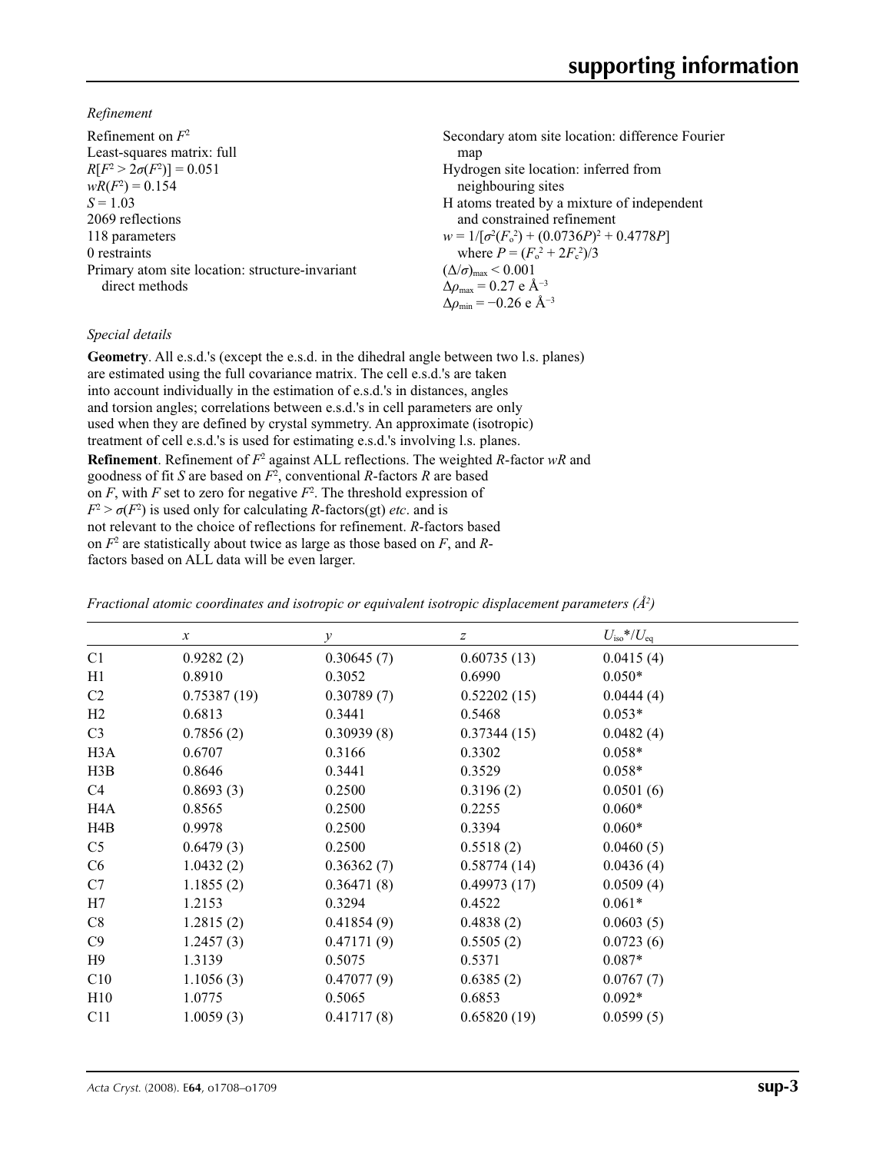*Refinement*

| Refinement on $F^2$                             | Secondary atom site location: difference Fourier          |
|-------------------------------------------------|-----------------------------------------------------------|
| Least-squares matrix: full                      | map                                                       |
| $R[F^2 > 2\sigma(F^2)] = 0.051$                 | Hydrogen site location: inferred from                     |
| $wR(F^2) = 0.154$                               | neighbouring sites                                        |
| $S = 1.03$                                      | H atoms treated by a mixture of independent               |
| 2069 reflections                                | and constrained refinement                                |
| 118 parameters                                  | $w = 1/[\sigma^2(F_0^2) + (0.0736P)^2 + 0.4778P]$         |
| 0 restraints                                    | where $P = (F_0^2 + 2F_c^2)/3$                            |
| Primary atom site location: structure-invariant | $(\Delta/\sigma)_{\text{max}}$ < 0.001                    |
| direct methods                                  | $\Delta\rho_{\text{max}} = 0.27 \text{ e A}^{-3}$         |
|                                                 | $\Delta\rho_{\rm min} = -0.26 \text{ e } \text{\AA}^{-3}$ |

### *Special details*

**Geometry**. All e.s.d.'s (except the e.s.d. in the dihedral angle between two l.s. planes) are estimated using the full covariance matrix. The cell e.s.d.'s are taken into account individually in the estimation of e.s.d.'s in distances, angles and torsion angles; correlations between e.s.d.'s in cell parameters are only used when they are defined by crystal symmetry. An approximate (isotropic) treatment of cell e.s.d.'s is used for estimating e.s.d.'s involving l.s. planes. **Refinement**. Refinement of  $F^2$  against ALL reflections. The weighted *R*-factor wR and goodness of fit *S* are based on *F*<sup>2</sup> , conventional *R*-factors *R* are based on  $F$ , with  $F$  set to zero for negative  $F^2$ . The threshold expression of  $F^2 > \sigma(F^2)$  is used only for calculating *R*-factors(gt) *etc*. and is not relevant to the choice of reflections for refinement. *R*-factors based on *F*<sup>2</sup> are statistically about twice as large as those based on *F*, and *R*factors based on ALL data will be even larger.

| Fractional atomic coordinates and isotropic or equivalent isotropic displacement parameters $(\AA^2)$ |  |  |  |
|-------------------------------------------------------------------------------------------------------|--|--|--|
|                                                                                                       |  |  |  |

|                  | $\boldsymbol{\mathcal{X}}$ | $\mathcal V$ | Ζ           | $U_{\rm iso}*/U_{\rm eq}$ |  |
|------------------|----------------------------|--------------|-------------|---------------------------|--|
| C1               | 0.9282(2)                  | 0.30645(7)   | 0.60735(13) | 0.0415(4)                 |  |
| H1               | 0.8910                     | 0.3052       | 0.6990      | $0.050*$                  |  |
| C <sub>2</sub>   | 0.75387(19)                | 0.30789(7)   | 0.52202(15) | 0.0444(4)                 |  |
| H2               | 0.6813                     | 0.3441       | 0.5468      | $0.053*$                  |  |
| C <sub>3</sub>   | 0.7856(2)                  | 0.30939(8)   | 0.37344(15) | 0.0482(4)                 |  |
| H <sub>3</sub> A | 0.6707                     | 0.3166       | 0.3302      | $0.058*$                  |  |
| H3B              | 0.8646                     | 0.3441       | 0.3529      | $0.058*$                  |  |
| C4               | 0.8693(3)                  | 0.2500       | 0.3196(2)   | 0.0501(6)                 |  |
| H <sub>4</sub> A | 0.8565                     | 0.2500       | 0.2255      | $0.060*$                  |  |
| H4B              | 0.9978                     | 0.2500       | 0.3394      | $0.060*$                  |  |
| C <sub>5</sub>   | 0.6479(3)                  | 0.2500       | 0.5518(2)   | 0.0460(5)                 |  |
| C6               | 1.0432(2)                  | 0.36362(7)   | 0.58774(14) | 0.0436(4)                 |  |
| C7               | 1.1855(2)                  | 0.36471(8)   | 0.49973(17) | 0.0509(4)                 |  |
| H7               | 1.2153                     | 0.3294       | 0.4522      | $0.061*$                  |  |
| C8               | 1.2815(2)                  | 0.41854(9)   | 0.4838(2)   | 0.0603(5)                 |  |
| C9               | 1.2457(3)                  | 0.47171(9)   | 0.5505(2)   | 0.0723(6)                 |  |
| H9               | 1.3139                     | 0.5075       | 0.5371      | $0.087*$                  |  |
| C10              | 1.1056(3)                  | 0.47077(9)   | 0.6385(2)   | 0.0767(7)                 |  |
| H10              | 1.0775                     | 0.5065       | 0.6853      | $0.092*$                  |  |
| C11              | 1.0059(3)                  | 0.41717(8)   | 0.65820(19) | 0.0599(5)                 |  |
|                  |                            |              |             |                           |  |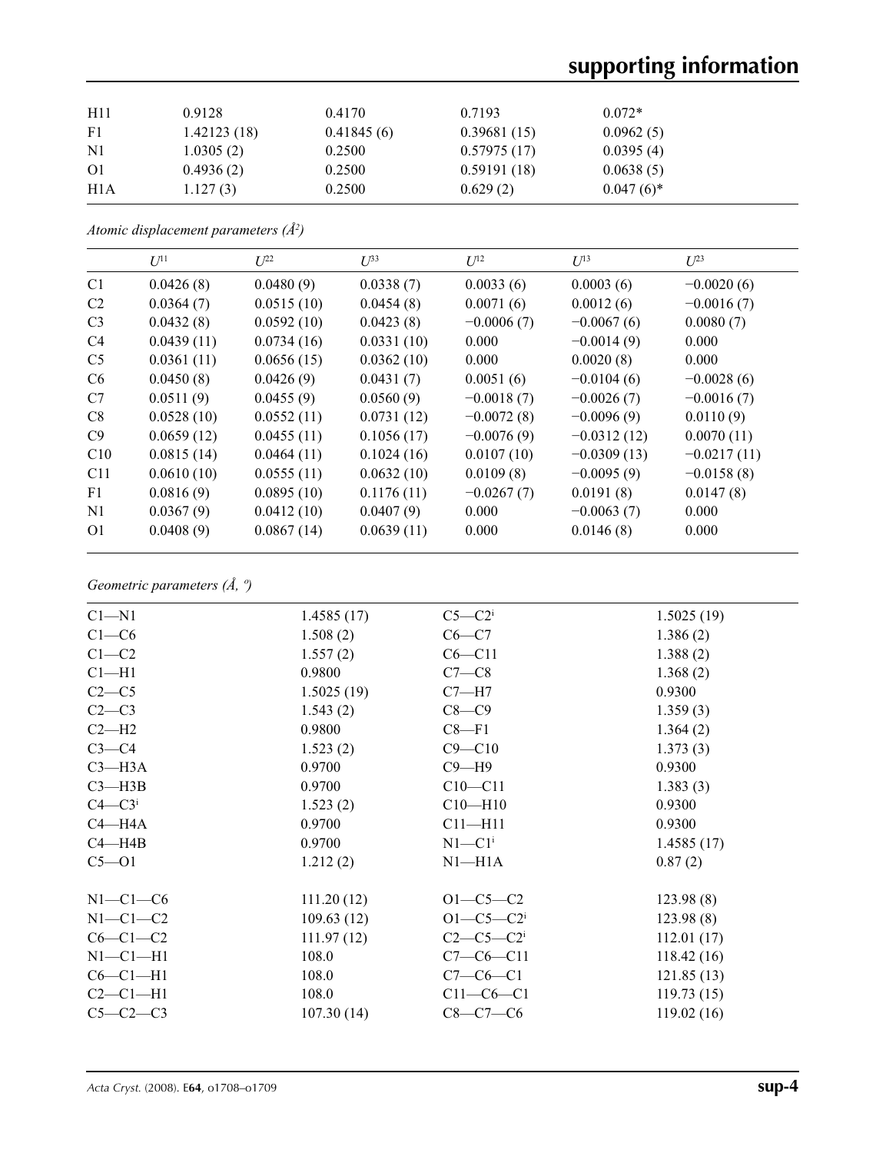# **supporting information**

| H11           | 0.9128      | 0.4170     | 0.7193      | $0.072*$     |
|---------------|-------------|------------|-------------|--------------|
| -F1           | 1.42123(18) | 0.41845(6) | 0.39681(15) | 0.0962(5)    |
| $\mathbf{N}$  | 1.0305(2)   | 0.2500     | 0.57975(17) | 0.0395(4)    |
| <sup>O1</sup> | 0.4936(2)   | 0.2500     | 0.59191(18) | 0.0638(5)    |
| H1A           | 1.127(3)    | 0.2500     | 0.629(2)    | $0.047(6)$ * |

*Atomic displacement parameters (Å2 )*

|                | $U^{11}$   | $I^{22}$   | $\mathcal{L}^{\beta 3}$ | $U^{12}$     | $U^{13}$      | $L^{23}$      |
|----------------|------------|------------|-------------------------|--------------|---------------|---------------|
| C <sub>1</sub> | 0.0426(8)  | 0.0480(9)  | 0.0338(7)               | 0.0033(6)    | 0.0003(6)     | $-0.0020(6)$  |
| C <sub>2</sub> | 0.0364(7)  | 0.0515(10) | 0.0454(8)               | 0.0071(6)    | 0.0012(6)     | $-0.0016(7)$  |
| C <sub>3</sub> | 0.0432(8)  | 0.0592(10) | 0.0423(8)               | $-0.0006(7)$ | $-0.0067(6)$  | 0.0080(7)     |
| C <sub>4</sub> | 0.0439(11) | 0.0734(16) | 0.0331(10)              | 0.000        | $-0.0014(9)$  | 0.000         |
| C <sub>5</sub> | 0.0361(11) | 0.0656(15) | 0.0362(10)              | 0.000        | 0.0020(8)     | 0.000         |
| C6             | 0.0450(8)  | 0.0426(9)  | 0.0431(7)               | 0.0051(6)    | $-0.0104(6)$  | $-0.0028(6)$  |
| C7             | 0.0511(9)  | 0.0455(9)  | 0.0560(9)               | $-0.0018(7)$ | $-0.0026(7)$  | $-0.0016(7)$  |
| C8             | 0.0528(10) | 0.0552(11) | 0.0731(12)              | $-0.0072(8)$ | $-0.0096(9)$  | 0.0110(9)     |
| C9             | 0.0659(12) | 0.0455(11) | 0.1056(17)              | $-0.0076(9)$ | $-0.0312(12)$ | 0.0070(11)    |
| C10            | 0.0815(14) | 0.0464(11) | 0.1024(16)              | 0.0107(10)   | $-0.0309(13)$ | $-0.0217(11)$ |
| C11            | 0.0610(10) | 0.0555(11) | 0.0632(10)              | 0.0109(8)    | $-0.0095(9)$  | $-0.0158(8)$  |
| F1             | 0.0816(9)  | 0.0895(10) | 0.1176(11)              | $-0.0267(7)$ | 0.0191(8)     | 0.0147(8)     |
| N1             | 0.0367(9)  | 0.0412(10) | 0.0407(9)               | 0.000        | $-0.0063(7)$  | 0.000         |
| O <sub>1</sub> | 0.0408(9)  | 0.0867(14) | 0.0639(11)              | 0.000        | 0.0146(8)     | 0.000         |

*Geometric parameters (Å, º)*

| $C1 - N1$              | 1.4585(17) | $C5-C2i$             | 1.5025(19)  |
|------------------------|------------|----------------------|-------------|
| $C1-C6$                | 1.508(2)   | $C6 - C7$            | 1.386(2)    |
| $C1-C2$                | 1.557(2)   | $C6 - C11$           | 1.388(2)    |
| $C1 - H1$              | 0.9800     | $C7-C8$              | 1.368(2)    |
| $C2-C5$                | 1.5025(19) | $C7 - H7$            | 0.9300      |
| $C2-C3$                | 1.543(2)   | $C8-C9$              | 1.359(3)    |
| $C2-H2$                | 0.9800     | $C8 - F1$            | 1.364(2)    |
| $C3-C4$                | 1.523(2)   | $C9 - C10$           | 1.373(3)    |
| $C3 - H3A$             | 0.9700     | $C9 - H9$            | 0.9300      |
| $C3 - H3B$             | 0.9700     | $C10 - C11$          | 1.383(3)    |
| $C4 - C3$ <sup>i</sup> | 1.523(2)   | $C10 - H10$          | 0.9300      |
| $C4 - H4A$             | 0.9700     | $C11 - H11$          | 0.9300      |
| $C4 - H4B$             | 0.9700     | $N1-C1$ <sup>i</sup> | 1.4585(17)  |
| $C5 - O1$              | 1.212(2)   | $N1 - H1A$           | 0.87(2)     |
| $N1-C1-C6$             | 111.20(12) | $O1 - C5 - C2$       | 123.98(8)   |
| $N1-C1-C2$             | 109.63(12) | $O1 - C5 - C2$       | 123.98(8)   |
| $C6-C1-C2$             | 111.97(12) | $C2 - C5 - C2$       | 112.01(17)  |
| $N1-C1-H1$             | 108.0      | $C7-C6-C11$          | 118.42(16)  |
| $C6-C1-H1$             | 108.0      | $C7 - C6 - C1$       | 121.85(13)  |
| $C2-C1-H1$             | 108.0      | $C11-C6-C1$          | 119.73(15)  |
| $C5-C2-C3$             | 107.30(14) | $C8 - C7 - C6$       | 119.02 (16) |